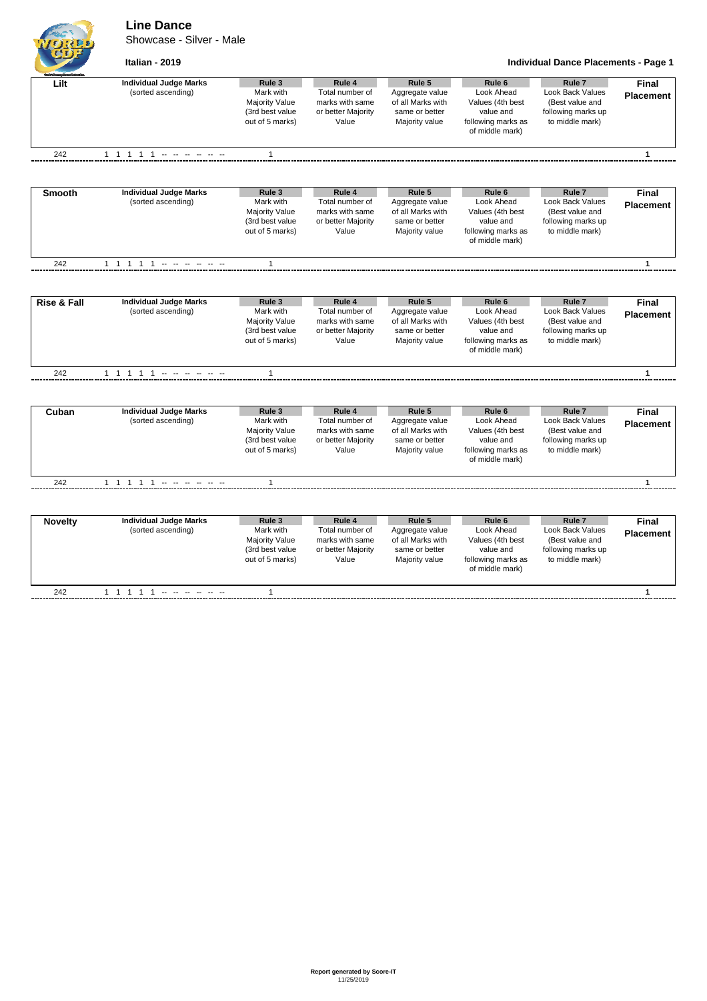## **Line Dance**

Showcase - Silver - Male

```
Italian - 2019 Individual Dance Placements - Page 1
```

| Lilt           | <b>Individual Judge Marks</b> | Rule 3          | Rule 4             | Rule 5            | Rule <sub>6</sub>  | Rule <sub>7</sub>       | <b>Final</b>     |
|----------------|-------------------------------|-----------------|--------------------|-------------------|--------------------|-------------------------|------------------|
|                | (sorted ascending)            | Mark with       | Total number of    | Aggregate value   | Look Ahead         | Look Back Values        | <b>Placement</b> |
|                |                               | Majority Value  | marks with same    | of all Marks with | Values (4th best   | (Best value and         |                  |
|                |                               | (3rd best value | or better Majority | same or better    | value and          | following marks up      |                  |
|                |                               | out of 5 marks) | Value              | Majority value    | following marks as | to middle mark)         |                  |
|                |                               |                 |                    |                   | of middle mark)    |                         |                  |
| 242            | 11111 ------                  | 1               |                    |                   |                    |                         | $\mathbf{1}$     |
|                |                               |                 |                    |                   |                    |                         |                  |
| <b>Smooth</b>  | <b>Individual Judge Marks</b> | Rule 3          | Rule 4             | Rule 5            | Rule 6             | Rule <sub>7</sub>       | <b>Final</b>     |
|                | (sorted ascending)            | Mark with       | Total number of    | Aggregate value   | Look Ahead         | Look Back Values        | <b>Placement</b> |
|                |                               | Majority Value  | marks with same    | of all Marks with | Values (4th best   | (Best value and         |                  |
|                |                               | (3rd best value | or better Majority | same or better    | value and          | following marks up      |                  |
|                |                               | out of 5 marks) | Value              | Majority value    | following marks as | to middle mark)         |                  |
|                |                               |                 |                    |                   | of middle mark)    |                         |                  |
| 242            |                               | $\mathbf{1}$    |                    |                   |                    |                         | $\mathbf{1}$     |
|                |                               |                 |                    |                   |                    |                         |                  |
| Rise & Fall    | <b>Individual Judge Marks</b> | Rule 3          | Rule 4             | Rule 5            | Rule <sub>6</sub>  | Rule <sub>7</sub>       | <b>Final</b>     |
|                | (sorted ascending)            | Mark with       | Total number of    | Aggregate value   | Look Ahead         | Look Back Values        | <b>Placement</b> |
|                |                               | Majority Value  | marks with same    | of all Marks with | Values (4th best   | (Best value and         |                  |
|                |                               | (3rd best value | or better Majority | same or better    | value and          | following marks up      |                  |
|                |                               | out of 5 marks) | Value              | Majority value    | following marks as | to middle mark)         |                  |
|                |                               |                 |                    |                   | of middle mark)    |                         |                  |
| 242            | 1 1 1 1 1 - - - - - -         | $\mathbf{1}$    |                    |                   |                    |                         | $\mathbf{1}$     |
|                |                               |                 |                    |                   |                    |                         |                  |
| Cuban          | <b>Individual Judge Marks</b> | Rule 3          | Rule 4             | Rule 5            | Rule <sub>6</sub>  | Rule <sub>7</sub>       | Final            |
|                | (sorted ascending)            | Mark with       | Total number of    | Aggregate value   | Look Ahead         | Look Back Values        | <b>Placement</b> |
|                |                               | Majority Value  | marks with same    | of all Marks with | Values (4th best   | (Best value and         |                  |
|                |                               | (3rd best value | or better Majority | same or better    | value and          | following marks up      |                  |
|                |                               | out of 5 marks) | Value              | Majority value    | following marks as | to middle mark)         |                  |
|                |                               |                 |                    |                   | of middle mark)    |                         |                  |
| 242            | 1 1 1 1 1                     | $\mathbf{1}$    |                    |                   |                    |                         | 1                |
|                |                               |                 |                    |                   |                    |                         |                  |
| <b>Novelty</b> | <b>Individual Judge Marks</b> | Rule 3          | Rule 4             | Rule 5            | Rule <sub>6</sub>  | Rule <sub>7</sub>       | <b>Final</b>     |
|                | (sorted ascending)            | Mark with       | Total number of    | Aggregate value   | Look Ahead         | <b>Look Back Values</b> | <b>Placement</b> |
|                |                               | Majority Value  | marks with same    | of all Marks with | Values (4th best   | (Best value and         |                  |
|                |                               | (3rd best value | or better Majority | same or better    | value and          | following marks up      |                  |
|                |                               | out of 5 marks) | Value              | Majority value    | following marks as | to middle mark)         |                  |
|                |                               |                 |                    |                   | of middle mark)    |                         |                  |
| 242            | 1 1 1 1 1 - - - - - -         | 1               |                    |                   |                    |                         | $\mathbf{1}$     |
|                |                               |                 |                    |                   |                    |                         |                  |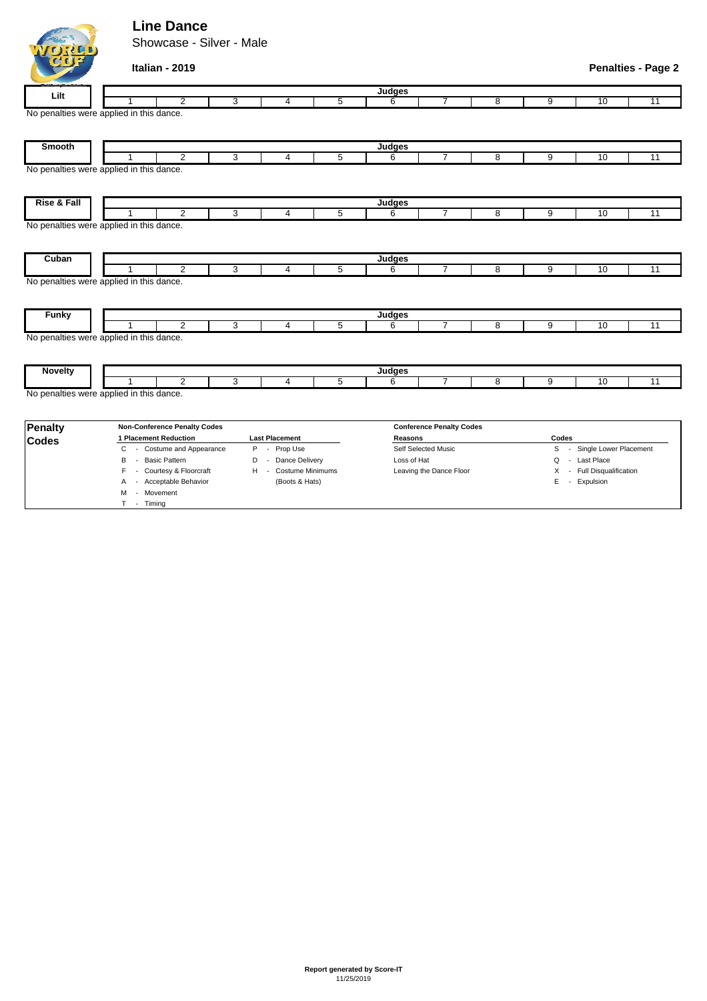## **Line Dance**

M - Movement T - Timing

Showcase - Silver - Male



## **Italian - 2019 Penalties - Page 2**

| Lilt                                                                 | Judges                                                 |                                     |    |                                   |   |                                 |                |   |                                       |            |    |  |  |
|----------------------------------------------------------------------|--------------------------------------------------------|-------------------------------------|----|-----------------------------------|---|---------------------------------|----------------|---|---------------------------------------|------------|----|--|--|
|                                                                      |                                                        | $\overline{2}$                      | 3  | 4                                 | 5 | 6                               |                | 8 | 9                                     | 10         | 11 |  |  |
| No penalties were applied in this dance.                             |                                                        |                                     |    |                                   |   |                                 |                |   |                                       |            |    |  |  |
| <b>Smooth</b>                                                        |                                                        |                                     |    |                                   |   |                                 |                |   |                                       |            |    |  |  |
|                                                                      |                                                        | $\overline{2}$                      | 3  | 4                                 | 5 | 6                               | $\overline{7}$ | 8 | 9                                     | 10         | 11 |  |  |
| No penalties were applied in this dance.                             |                                                        |                                     |    |                                   |   |                                 |                |   |                                       |            |    |  |  |
| Rise & Fall<br>Judges                                                |                                                        |                                     |    |                                   |   |                                 |                |   |                                       |            |    |  |  |
|                                                                      |                                                        | 2                                   | 3  | 4                                 | 5 | 6                               | 7              | 8 | 9                                     | 10         | 11 |  |  |
|                                                                      | No penalties were applied in this dance.               |                                     |    |                                   |   |                                 |                |   |                                       |            |    |  |  |
| Cuban                                                                |                                                        |                                     |    |                                   |   | Judges                          |                |   |                                       |            |    |  |  |
|                                                                      |                                                        | $\overline{2}$                      | 3  | 4                                 | 5 | 6                               | $\overline{7}$ | 8 | 9                                     | 10         | 11 |  |  |
| <b>Funky</b>                                                         | No penalties were applied in this dance.<br>Judges     |                                     |    |                                   |   |                                 |                |   |                                       |            |    |  |  |
|                                                                      |                                                        | 2                                   | 3  | 4                                 | 5 | 6                               | $\overline{7}$ | 8 | 9                                     | 10         | 11 |  |  |
| No penalties were applied in this dance.<br><b>Novelty</b><br>Judges |                                                        |                                     |    |                                   |   |                                 |                |   |                                       |            |    |  |  |
|                                                                      |                                                        | $\overline{2}$                      | 3  | 4                                 | 5 | 6                               | $\overline{7}$ | 8 | 9                                     | 10         | 11 |  |  |
| No penalties were applied in this dance.                             |                                                        |                                     |    |                                   |   |                                 |                |   |                                       |            |    |  |  |
| <b>Penalty</b>                                                       |                                                        | <b>Non-Conference Penalty Codes</b> |    |                                   |   | <b>Conference Penalty Codes</b> |                |   |                                       |            |    |  |  |
| <b>Codes</b>                                                         | 1 Placement Reduction<br><b>Last Placement</b>         |                                     |    |                                   |   | Reasons                         |                |   | Codes                                 |            |    |  |  |
|                                                                      | Costume and Appearance<br>C<br>Prop Use<br>P<br>$\sim$ |                                     |    |                                   |   | Self Selected Music             |                |   | Single Lower Placement<br>S<br>$\sim$ |            |    |  |  |
|                                                                      | B                                                      | <b>Basic Pattern</b>                | D  | Dance Delivery<br>$\sim$          |   | Loss of Hat                     |                |   | O<br>$\sim$                           | Last Place |    |  |  |
|                                                                      | F                                                      | Courtesy & Floorcraft               | H. | <b>Costume Minimums</b><br>$\sim$ |   | Leaving the Dance Floor         |                |   | X - Full Disqualification             |            |    |  |  |

A - Acceptable Behavior (Boots & Hats) E - Expulsion